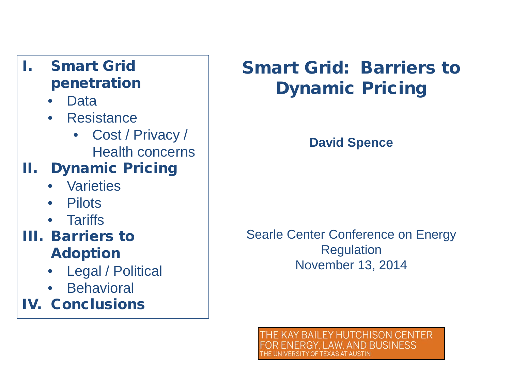## I. Smart Grid penetration

- Data
- Resistance
	- Cost / Privacy / Health concerns

# II. Dynamic Pricing

- Varieties
- Pilots
- Tariffs

### III. Barriers to Adoption

- Legal / Political
- Behavioral

IV. Conclusions

# Smart Grid: Barriers to Dynamic Pricing

### **David Spence**

Searle Center Conference on Energy Regulation November 13, 2014

**BAILEY HUTCHISON CENTER LAW. AND BUSINESS** NIVERSITY OF TEXAS AT AUSTIN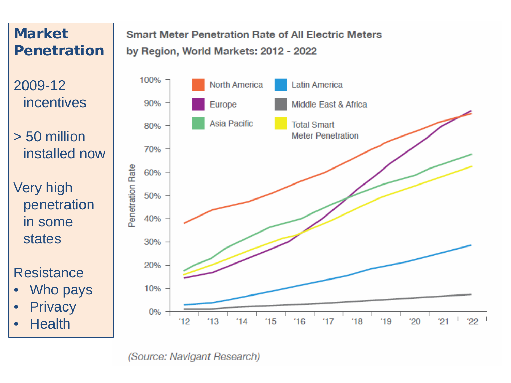## Market Penetration

2009-12 incentives

> 50 million installed now

Very high penetration in some states

#### **Resistance**

- Who pays
- **Privacy**
- Health

#### **Smart Meter Penetration Rate of All Electric Meters** by Region, World Markets: 2012 - 2022



(Source: Navigant Research)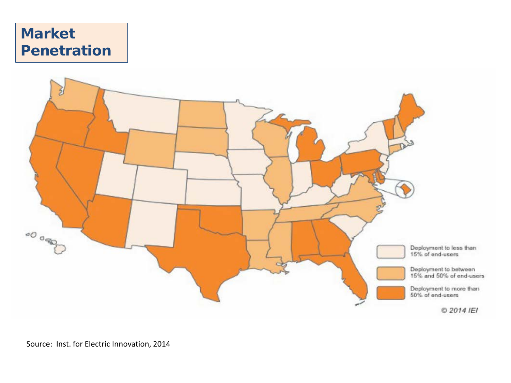### **Market** Penetration

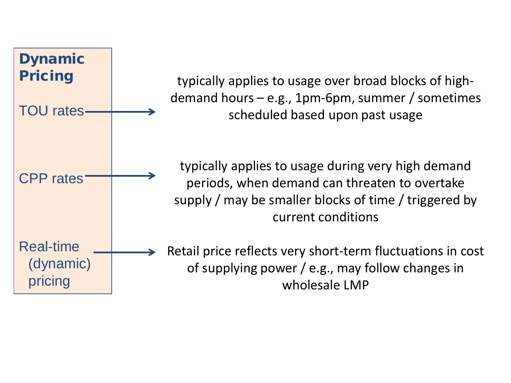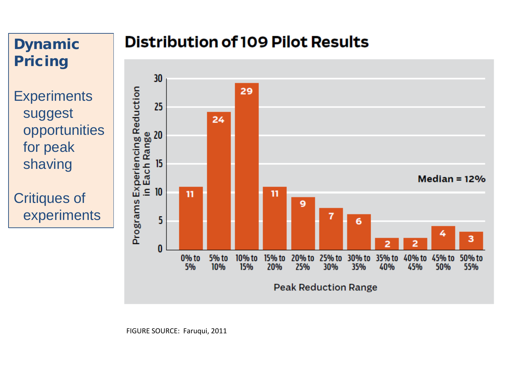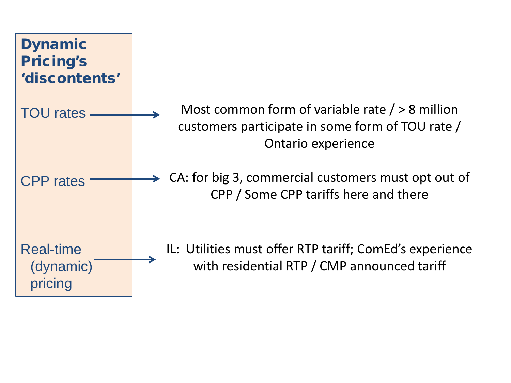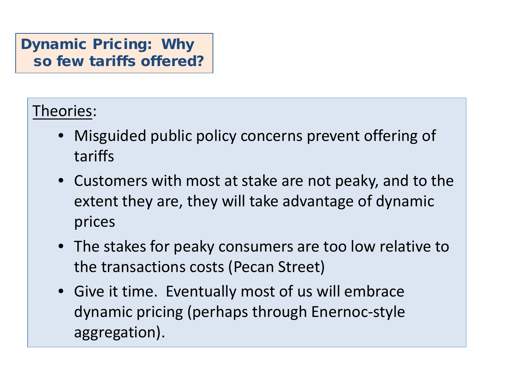### Dynamic Pricing: Why so few tariffs offered?

# Theories:

- Misguided public policy concerns prevent offering of tariffs
- Customers with most at stake are not peaky, and to the extent they are, they will take advantage of dynamic prices
- The stakes for peaky consumers are too low relative to the transactions costs (Pecan Street)
- Give it time. Eventually most of us will embrace dynamic pricing (perhaps through Enernoc-style aggregation).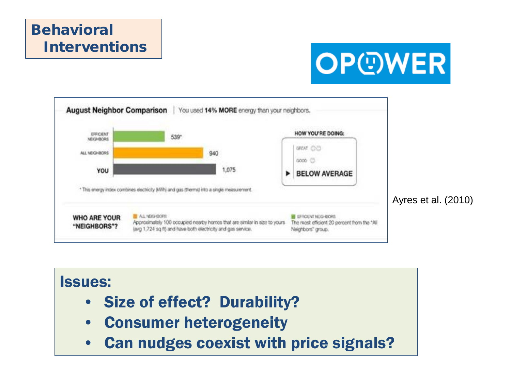## **Behavioral** Interventions